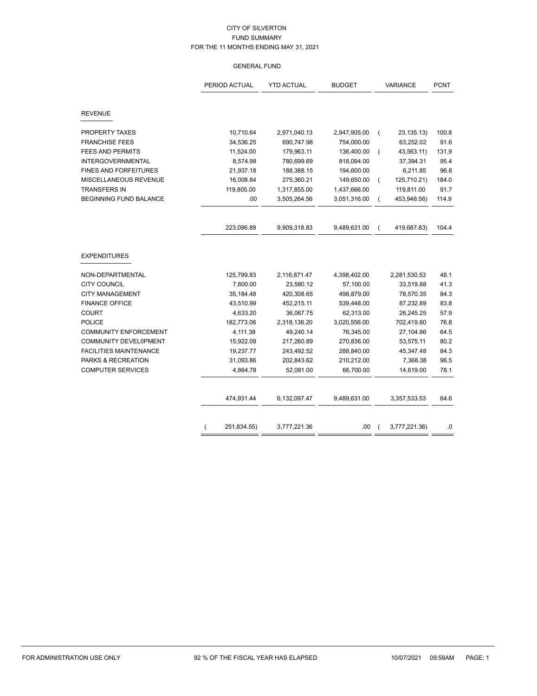# GENERAL FUND

|                               | PERIOD ACTUAL<br><b>YTD ACTUAL</b><br><b>BUDGET</b> |              | <b>VARIANCE</b> | <b>PCNT</b>    |               |       |
|-------------------------------|-----------------------------------------------------|--------------|-----------------|----------------|---------------|-------|
| <b>REVENUE</b>                |                                                     |              |                 |                |               |       |
| PROPERTY TAXES                | 10,710.64                                           | 2,971,040.13 | 2,947,905.00    | - (            | 23, 135. 13)  | 100.8 |
| <b>FRANCHISE FEES</b>         | 34,536.25                                           | 690,747.98   | 754,000.00      |                | 63,252.02     | 91.6  |
| <b>FEES AND PERMITS</b>       | 11,524.00                                           | 179,963.11   | 136,400.00      |                | 43,563.11)    | 131.9 |
| <b>INTERGOVERNMENTAL</b>      | 8,574.98                                            | 780,699.69   | 818,094.00      |                | 37,394.31     | 95.4  |
| <b>FINES AND FORFEITURES</b>  | 21,937.18                                           | 188,388.15   | 194,600.00      |                | 6,211.85      | 96.8  |
| MISCELLANEOUS REVENUE         | 16,008.84                                           | 275,360.21   | 149,650.00      | $\overline{ }$ | 125,710.21)   | 184.0 |
| <b>TRANSFERS IN</b>           | 119,805.00                                          | 1,317,855.00 | 1,437,666.00    |                | 119,811.00    | 91.7  |
| BEGINNING FUND BALANCE        | .00                                                 | 3,505,264.56 | 3,051,316.00    |                | 453,948.56)   | 114.9 |
|                               |                                                     |              |                 |                |               |       |
|                               | 223,096.89                                          | 9,909,318.83 | 9,489,631.00    |                | 419,687.83)   | 104.4 |
| <b>EXPENDITURES</b>           |                                                     |              |                 |                |               |       |
| NON-DEPARTMENTAL              | 125,799.83                                          | 2,116,871.47 | 4,398,402.00    |                | 2,281,530.53  | 48.1  |
| <b>CITY COUNCIL</b>           | 7,800.00                                            | 23,580.12    | 57,100.00       |                | 33,519.88     | 41.3  |
| <b>CITY MANAGEMENT</b>        | 35,184.48                                           | 420,308.65   | 498,879.00      |                | 78,570.35     | 84.3  |
| <b>FINANCE OFFICE</b>         | 43,510.99                                           | 452,215.11   | 539,448.00      |                | 87,232.89     | 83.8  |
| <b>COURT</b>                  | 4,633.20                                            | 36,067.75    | 62,313.00       |                | 26,245.25     | 57.9  |
| <b>POLICE</b>                 | 182,773.06                                          | 2,318,136.20 | 3,020,556.00    |                | 702,419.80    | 76.8  |
| <b>COMMUNITY ENFORCEMENT</b>  | 4,111.38                                            | 49,240.14    | 76,345.00       |                | 27,104.86     | 64.5  |
| COMMUNITY DEVEL0PMENT         | 15,922.09                                           | 217,260.89   | 270,836.00      |                | 53,575.11     | 80.2  |
| <b>FACILITIES MAINTENANCE</b> | 19,237.77                                           | 243,492.52   | 288,840.00      |                | 45,347.48     | 84.3  |
| PARKS & RECREATION            | 31,093.86                                           | 202,843.62   | 210,212.00      |                | 7,368.38      | 96.5  |
| <b>COMPUTER SERVICES</b>      | 4,864.78                                            | 52,081.00    | 66,700.00       |                | 14,619.00     | 78.1  |
|                               |                                                     |              |                 |                |               |       |
|                               | 474,931.44                                          | 6,132,097.47 | 9,489,631.00    |                | 3,357,533.53  | 64.6  |
|                               |                                                     |              |                 |                |               |       |
|                               | 251,834.55)                                         | 3,777,221.36 | .00             |                | 3,777,221.36) | .0    |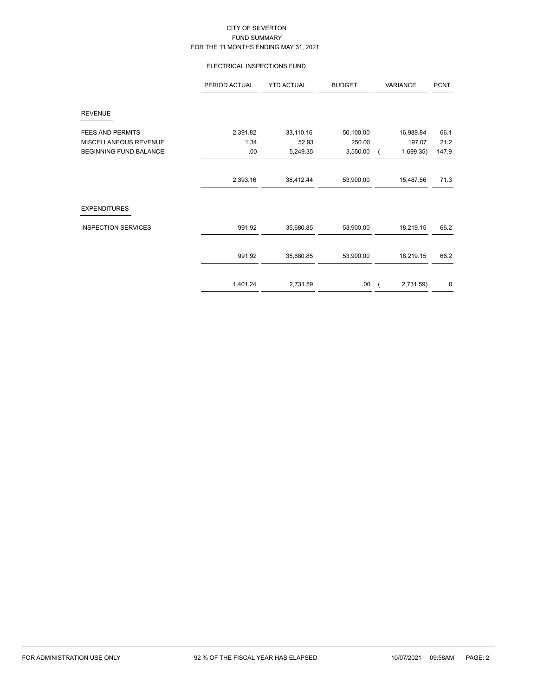# ELECTRICAL INSPECTIONS FUND

|                               | PERIOD ACTUAL | <b>YTD ACTUAL</b> | <b>BUDGET</b> | VARIANCE                | <b>PCNT</b> |
|-------------------------------|---------------|-------------------|---------------|-------------------------|-------------|
| <b>REVENUE</b>                |               |                   |               |                         |             |
| <b>FEES AND PERMITS</b>       | 2,391.82      | 33,110.16         | 50,100.00     | 16,989.84               | 66.1        |
| MISCELLANEOUS REVENUE         | 1.34          | 52.93             | 250.00        | 197.07                  | 21.2        |
| <b>BEGINNING FUND BALANCE</b> | .00.          | 5,249.35          | 3,550.00      | 1,699.35)<br>$\sqrt{2}$ | 147.9       |
|                               |               |                   |               |                         |             |
|                               | 2,393.16      | 38,412.44         | 53,900.00     | 15,487.56               | 71.3        |
| <b>EXPENDITURES</b>           |               |                   |               |                         |             |
| <b>INSPECTION SERVICES</b>    | 991.92        | 35,680.85         | 53,900.00     | 18,219.15               | 66.2        |
|                               |               |                   |               |                         |             |
|                               | 991.92        | 35,680.85         | 53,900.00     | 18,219.15               | 66.2        |
|                               |               |                   |               |                         |             |
|                               | 1,401.24      | 2,731.59          | .00.          | 2,731.59)<br>$\sqrt{2}$ | .0          |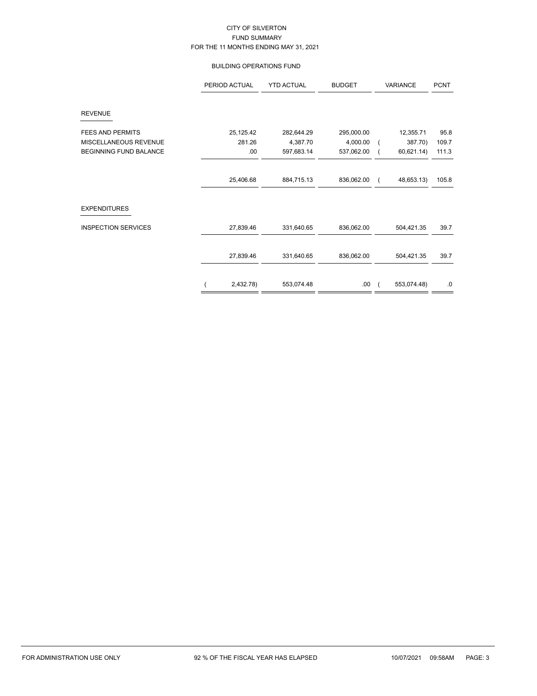### BUILDING OPERATIONS FUND

|                               | PERIOD ACTUAL | <b>YTD ACTUAL</b> | <b>BUDGET</b> | VARIANCE |             | <b>PCNT</b> |
|-------------------------------|---------------|-------------------|---------------|----------|-------------|-------------|
| <b>REVENUE</b>                |               |                   |               |          |             |             |
| <b>FEES AND PERMITS</b>       | 25,125.42     | 282,644.29        | 295,000.00    |          | 12,355.71   | 95.8        |
| MISCELLANEOUS REVENUE         | 281.26        | 4,387.70          | 4,000.00      |          | 387.70)     | 109.7       |
| <b>BEGINNING FUND BALANCE</b> | .00           | 597,683.14        | 537,062.00    |          | 60,621.14)  | 111.3       |
|                               |               |                   |               |          |             |             |
|                               | 25,406.68     | 884,715.13        | 836,062.00    |          | 48,653.13)  | 105.8       |
| <b>EXPENDITURES</b>           |               |                   |               |          |             |             |
| <b>INSPECTION SERVICES</b>    | 27,839.46     | 331,640.65        | 836,062.00    |          | 504,421.35  | 39.7        |
|                               | 27,839.46     | 331,640.65        | 836,062.00    |          | 504,421.35  | 39.7        |
|                               | 2,432.78)     | 553,074.48        | .00           |          | 553,074.48) | .0          |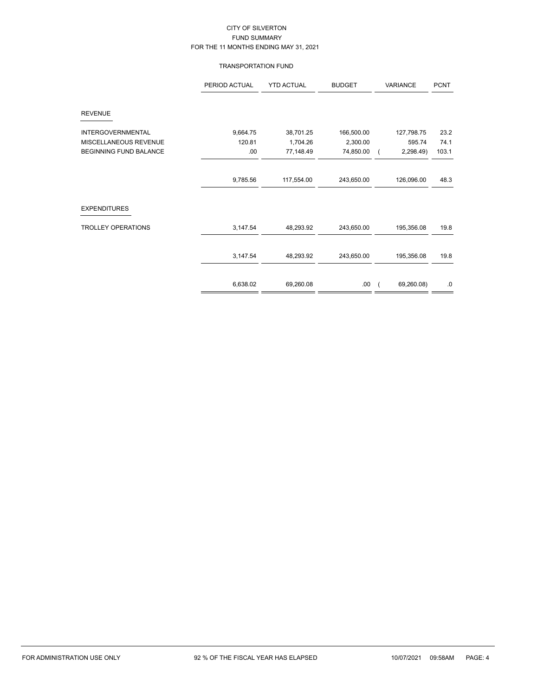### TRANSPORTATION FUND

|                               | PERIOD ACTUAL | <b>YTD ACTUAL</b> | <b>BUDGET</b> | VARIANCE   | <b>PCNT</b> |
|-------------------------------|---------------|-------------------|---------------|------------|-------------|
| <b>REVENUE</b>                |               |                   |               |            |             |
| <b>INTERGOVERNMENTAL</b>      | 9,664.75      | 38,701.25         | 166,500.00    | 127,798.75 | 23.2        |
| MISCELLANEOUS REVENUE         | 120.81        | 1,704.26          | 2,300.00      | 595.74     | 74.1        |
| <b>BEGINNING FUND BALANCE</b> | .00           | 77,148.49         | 74,850.00     | 2,298.49)  | 103.1       |
|                               |               |                   |               |            |             |
|                               | 9,785.56      | 117,554.00        | 243,650.00    | 126,096.00 | 48.3        |
| <b>EXPENDITURES</b>           |               |                   |               |            |             |
| <b>TROLLEY OPERATIONS</b>     | 3,147.54      | 48,293.92         | 243,650.00    | 195,356.08 | 19.8        |
|                               | 3,147.54      | 48,293.92         | 243,650.00    | 195,356.08 | 19.8        |
|                               |               |                   |               |            |             |
|                               | 6,638.02      | 69,260.08         | .00.          | 69,260.08) | $.0\,$      |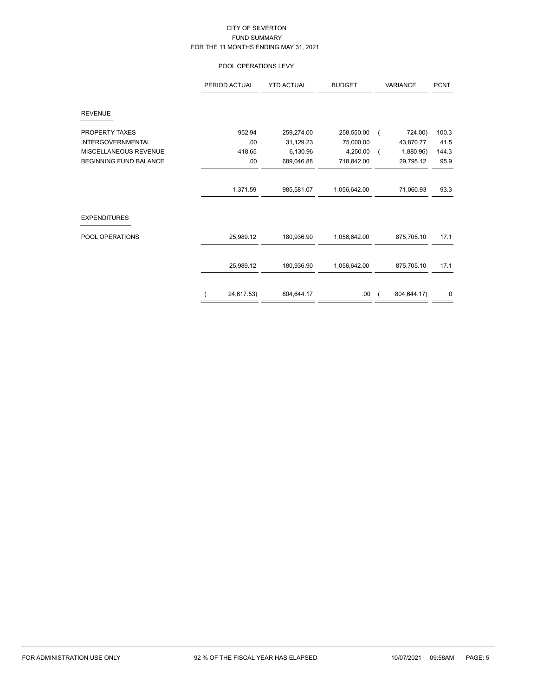# POOL OPERATIONS LEVY

|                               | PERIOD ACTUAL | <b>YTD ACTUAL</b> | <b>BUDGET</b> | <b>VARIANCE</b> |             | <b>PCNT</b> |
|-------------------------------|---------------|-------------------|---------------|-----------------|-------------|-------------|
| <b>REVENUE</b>                |               |                   |               |                 |             |             |
| PROPERTY TAXES                | 952.94        | 259,274.00        | 258,550.00    | $\overline{ }$  | 724.00)     | 100.3       |
| <b>INTERGOVERNMENTAL</b>      | .00           | 31,129.23         | 75,000.00     |                 | 43,870.77   | 41.5        |
| MISCELLANEOUS REVENUE         | 418.65        | 6,130.96          | 4,250.00      |                 | 1,880.96)   | 144.3       |
| <b>BEGINNING FUND BALANCE</b> | .00           | 689,046.88        | 718,842.00    |                 | 29,795.12   | 95.9        |
|                               | 1,371.59      | 985,581.07        | 1,056,642.00  |                 | 71,060.93   | 93.3        |
| <b>EXPENDITURES</b>           |               |                   |               |                 |             |             |
| POOL OPERATIONS               | 25,989.12     | 180,936.90        | 1,056,642.00  |                 | 875,705.10  | 17.1        |
|                               | 25,989.12     | 180,936.90        | 1,056,642.00  |                 | 875,705.10  | 17.1        |
|                               |               |                   |               |                 |             |             |
|                               | 24,617.53)    | 804,644.17        | .00.          |                 | 804,644.17) | .0          |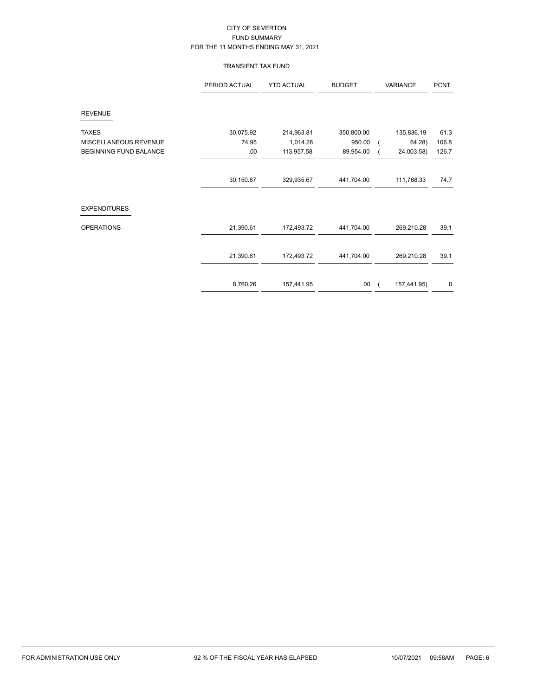# TRANSIENT TAX FUND

|                               | PERIOD ACTUAL | <b>YTD ACTUAL</b> | <b>BUDGET</b> | VARIANCE |             | <b>PCNT</b> |
|-------------------------------|---------------|-------------------|---------------|----------|-------------|-------------|
| <b>REVENUE</b>                |               |                   |               |          |             |             |
| <b>TAXES</b>                  | 30,075.92     | 214,963.81        | 350,800.00    |          | 135,836.19  | 61.3        |
| MISCELLANEOUS REVENUE         | 74.95         | 1,014.28          | 950.00        |          | 64.28)      | 106.8       |
| <b>BEGINNING FUND BALANCE</b> | .00           | 113,957.58        | 89,954.00     |          | 24,003.58)  | 126.7       |
|                               |               |                   |               |          |             |             |
|                               | 30,150.87     | 329,935.67        | 441,704.00    |          | 111,768.33  | 74.7        |
| <b>EXPENDITURES</b>           |               |                   |               |          |             |             |
| <b>OPERATIONS</b>             | 21,390.61     | 172,493.72        | 441,704.00    |          | 269,210.28  | 39.1        |
|                               | 21,390.61     | 172,493.72        | 441,704.00    |          | 269,210.28  | 39.1        |
|                               |               |                   |               |          |             |             |
|                               | 8,760.26      | 157,441.95        | .00.          |          | 157,441.95) | $.0\,$      |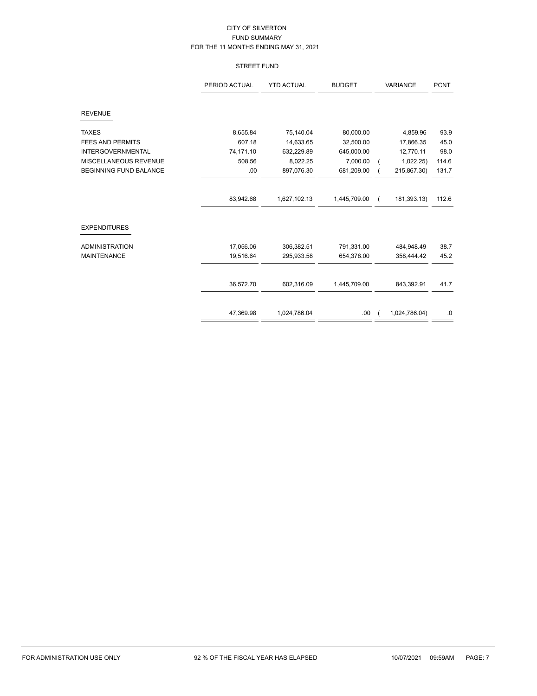### STREET FUND

|                               | <b>YTD ACTUAL</b><br>PERIOD ACTUAL<br><b>BUDGET</b> |              | <b>VARIANCE</b> | <b>PCNT</b> |               |       |
|-------------------------------|-----------------------------------------------------|--------------|-----------------|-------------|---------------|-------|
| <b>REVENUE</b>                |                                                     |              |                 |             |               |       |
| <b>TAXES</b>                  | 8,655.84                                            | 75,140.04    | 80,000.00       |             | 4,859.96      | 93.9  |
| <b>FEES AND PERMITS</b>       | 607.18                                              | 14,633.65    | 32,500.00       |             | 17,866.35     | 45.0  |
| <b>INTERGOVERNMENTAL</b>      | 74,171.10                                           | 632,229.89   | 645,000.00      |             | 12,770.11     | 98.0  |
| MISCELLANEOUS REVENUE         | 508.56                                              | 8,022.25     | 7,000.00        |             | 1,022.25)     | 114.6 |
| <b>BEGINNING FUND BALANCE</b> | .00                                                 | 897,076.30   | 681,209.00      |             | 215,867.30)   | 131.7 |
|                               | 83,942.68                                           | 1,627,102.13 | 1,445,709.00    | $\left($    | 181,393.13)   | 112.6 |
| <b>EXPENDITURES</b>           |                                                     |              |                 |             |               |       |
| <b>ADMINISTRATION</b>         | 17,056.06                                           | 306,382.51   | 791,331.00      |             | 484,948.49    | 38.7  |
| <b>MAINTENANCE</b>            | 19,516.64                                           | 295,933.58   | 654,378.00      |             | 358,444.42    | 45.2  |
|                               |                                                     |              |                 |             |               |       |
|                               | 36,572.70                                           | 602,316.09   | 1,445,709.00    |             | 843,392.91    | 41.7  |
|                               | 47,369.98                                           | 1,024,786.04 | .00             |             | 1,024,786.04) | .0    |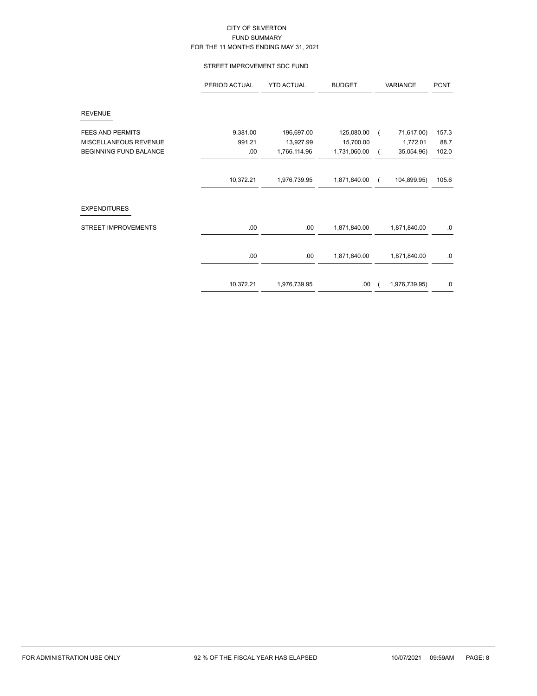### STREET IMPROVEMENT SDC FUND

|                            | PERIOD ACTUAL | <b>YTD ACTUAL</b> | <b>BUDGET</b> |            | VARIANCE      | <b>PCNT</b> |
|----------------------------|---------------|-------------------|---------------|------------|---------------|-------------|
| <b>REVENUE</b>             |               |                   |               |            |               |             |
| <b>FEES AND PERMITS</b>    | 9,381.00      | 196,697.00        | 125,080.00    |            | 71,617.00)    | 157.3       |
| MISCELLANEOUS REVENUE      | 991.21        | 13,927.99         | 15,700.00     |            | 1,772.01      | 88.7        |
| BEGINNING FUND BALANCE     | .00           | 1,766,114.96      | 1,731,060.00  |            | 35,054.96)    | 102.0       |
|                            |               |                   |               |            |               |             |
|                            | 10,372.21     | 1,976,739.95      | 1,871,840.00  | $\sqrt{2}$ | 104,899.95)   | 105.6       |
|                            |               |                   |               |            |               |             |
| <b>EXPENDITURES</b>        |               |                   |               |            |               |             |
| <b>STREET IMPROVEMENTS</b> | .00           | .00               | 1,871,840.00  |            | 1,871,840.00  | 0.          |
|                            | .00.          | .00               | 1,871,840.00  |            | 1,871,840.00  | $.0\,$      |
|                            |               |                   |               |            |               |             |
|                            | 10,372.21     | 1,976,739.95      | .00           |            | 1,976,739.95) | .0          |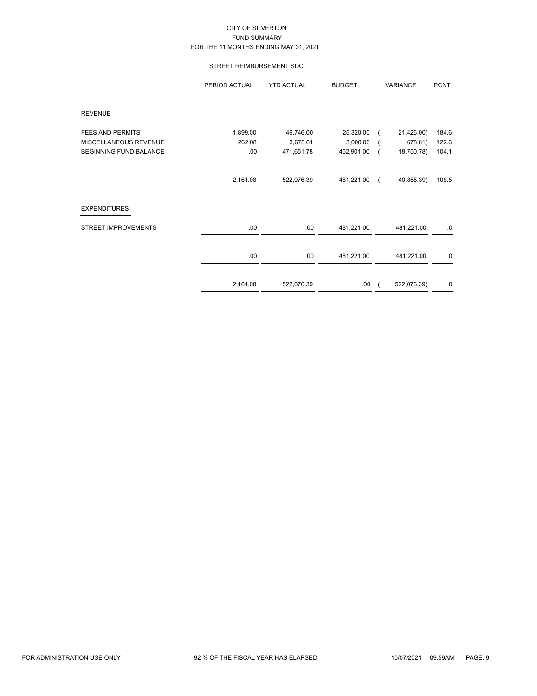### STREET REIMBURSEMENT SDC

|                               | PERIOD ACTUAL | <b>YTD ACTUAL</b> | <b>BUDGET</b> | VARIANCE |             | <b>PCNT</b> |
|-------------------------------|---------------|-------------------|---------------|----------|-------------|-------------|
| <b>REVENUE</b>                |               |                   |               |          |             |             |
| <b>FEES AND PERMITS</b>       | 1,899.00      | 46,746.00         | 25,320.00     |          | 21,426.00)  | 184.6       |
| MISCELLANEOUS REVENUE         | 262.08        | 3,678.61          | 3,000.00      |          | 678.61)     | 122.6       |
| <b>BEGINNING FUND BALANCE</b> | .00           | 471,651.78        | 452,901.00    |          | 18,750.78)  | 104.1       |
|                               |               |                   |               |          |             |             |
|                               | 2,161.08      | 522,076.39        | 481,221.00    |          | 40,855.39)  | 108.5       |
| <b>EXPENDITURES</b>           |               |                   |               |          |             |             |
| <b>STREET IMPROVEMENTS</b>    | .00           | .00               | 481,221.00    |          | 481,221.00  | .0          |
|                               | .00           | .00               | 481,221.00    |          | 481,221.00  | 0.          |
|                               |               |                   |               |          |             |             |
|                               | 2,161.08      | 522,076.39        | .00           |          | 522,076.39) | .0          |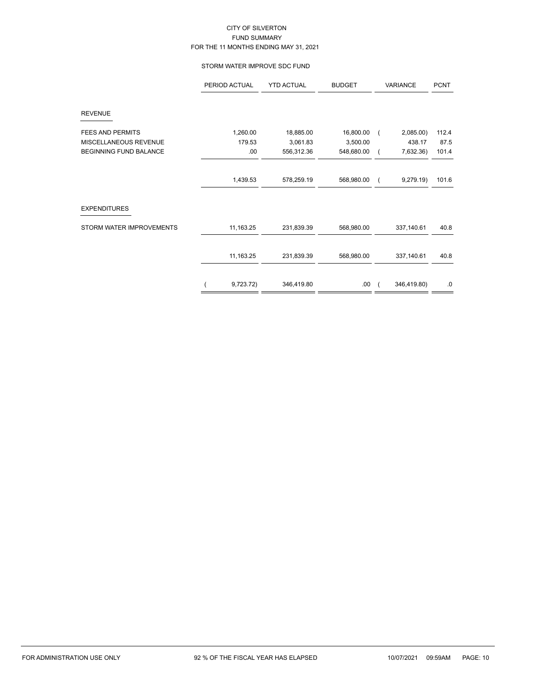### STORM WATER IMPROVE SDC FUND

|                               | PERIOD ACTUAL | <b>YTD ACTUAL</b> | <b>BUDGET</b> | VARIANCE    | <b>PCNT</b> |
|-------------------------------|---------------|-------------------|---------------|-------------|-------------|
| <b>REVENUE</b>                |               |                   |               |             |             |
| <b>FEES AND PERMITS</b>       | 1,260.00      | 18,885.00         | 16,800.00     | 2,085.00)   | 112.4       |
| MISCELLANEOUS REVENUE         | 179.53        | 3,061.83          | 3,500.00      | 438.17      | 87.5        |
| <b>BEGINNING FUND BALANCE</b> | .00.          | 556,312.36        | 548,680.00    | 7,632.36)   | 101.4       |
|                               | 1,439.53      | 578,259.19        | 568,980.00    | 9,279.19    | 101.6       |
|                               |               |                   |               |             |             |
| <b>EXPENDITURES</b>           |               |                   |               |             |             |
| STORM WATER IMPROVEMENTS      | 11,163.25     | 231,839.39        | 568,980.00    | 337,140.61  | 40.8        |
|                               | 11,163.25     | 231,839.39        | 568,980.00    | 337,140.61  | 40.8        |
|                               | 9,723.72)     | 346,419.80        | .00.          | 346,419.80) | .0          |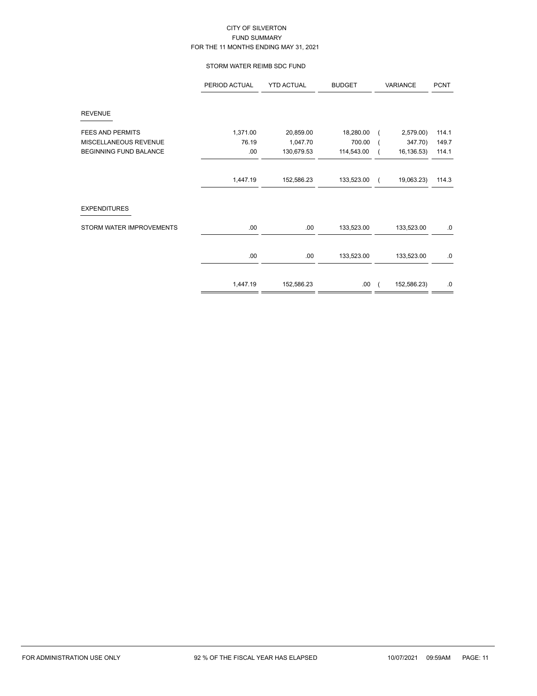### STORM WATER REIMB SDC FUND

|                          | PERIOD ACTUAL | <b>YTD ACTUAL</b> | <b>BUDGET</b> | VARIANCE   |             | <b>PCNT</b> |
|--------------------------|---------------|-------------------|---------------|------------|-------------|-------------|
| <b>REVENUE</b>           |               |                   |               |            |             |             |
| <b>FEES AND PERMITS</b>  | 1,371.00      | 20,859.00         | 18,280.00     |            | 2,579.00)   | 114.1       |
| MISCELLANEOUS REVENUE    | 76.19         | 1,047.70          | 700.00        |            | 347.70)     | 149.7       |
| BEGINNING FUND BALANCE   | .00           | 130,679.53        | 114,543.00    |            | 16, 136.53) | 114.1       |
|                          |               |                   |               |            |             |             |
|                          | 1,447.19      | 152,586.23        | 133,523.00    |            | 19,063.23)  | 114.3       |
| <b>EXPENDITURES</b>      |               |                   |               |            |             |             |
| STORM WATER IMPROVEMENTS | .00           | .00.              | 133,523.00    |            | 133,523.00  | .0          |
|                          |               |                   |               |            |             |             |
|                          | .00           | .00               | 133,523.00    |            | 133,523.00  | .0          |
|                          |               |                   |               |            |             |             |
|                          | 1,447.19      | 152,586.23        | .00.          | $\sqrt{ }$ | 152,586.23) | 0.          |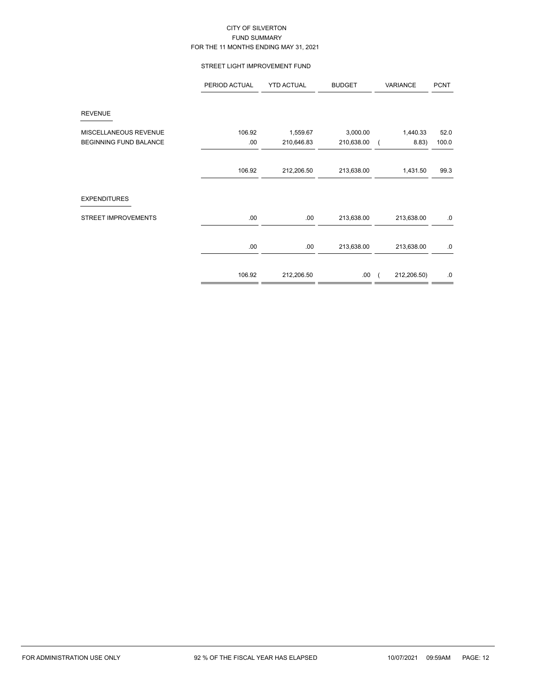### STREET LIGHT IMPROVEMENT FUND

|                                                        | PERIOD ACTUAL  | <b>YTD ACTUAL</b>      | <b>BUDGET</b>          | VARIANCE          | <b>PCNT</b>   |
|--------------------------------------------------------|----------------|------------------------|------------------------|-------------------|---------------|
| <b>REVENUE</b>                                         |                |                        |                        |                   |               |
| MISCELLANEOUS REVENUE<br><b>BEGINNING FUND BALANCE</b> | 106.92<br>.00. | 1,559.67<br>210,646.83 | 3,000.00<br>210,638.00 | 1,440.33<br>8.83) | 52.0<br>100.0 |
|                                                        | 106.92         | 212,206.50             | 213,638.00             | 1,431.50          | 99.3          |
| <b>EXPENDITURES</b>                                    |                |                        |                        |                   |               |
| STREET IMPROVEMENTS                                    | .00.           | .00                    | 213,638.00             | 213,638.00        | .0            |
|                                                        | .00.           | .00                    | 213,638.00             | 213,638.00        | .0            |
|                                                        | 106.92         | 212,206.50             | .00                    | 212,206.50)       | .0            |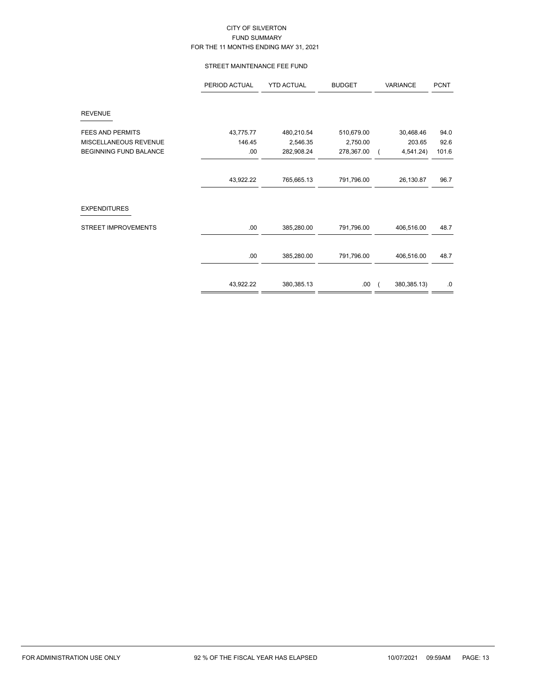### STREET MAINTENANCE FEE FUND

|                               | PERIOD ACTUAL<br><b>YTD ACTUAL</b> |            | <b>BUDGET</b> | VARIANCE                  | <b>PCNT</b> |
|-------------------------------|------------------------------------|------------|---------------|---------------------------|-------------|
| <b>REVENUE</b>                |                                    |            |               |                           |             |
| <b>FEES AND PERMITS</b>       | 43,775.77                          | 480,210.54 | 510,679.00    | 30,468.46                 | 94.0        |
| MISCELLANEOUS REVENUE         | 146.45                             | 2,546.35   | 2,750.00      | 203.65                    | 92.6        |
| <b>BEGINNING FUND BALANCE</b> | .00                                | 282,908.24 | 278,367.00    | 4,541.24)                 | 101.6       |
|                               |                                    |            |               |                           |             |
|                               | 43,922.22                          | 765,665.13 | 791,796.00    | 26,130.87                 | 96.7        |
| <b>EXPENDITURES</b>           |                                    |            |               |                           |             |
| <b>STREET IMPROVEMENTS</b>    | .00.                               | 385,280.00 | 791,796.00    | 406,516.00                | 48.7        |
|                               |                                    |            |               |                           |             |
|                               | .00.                               | 385,280.00 | 791,796.00    | 406,516.00                | 48.7        |
|                               |                                    |            |               |                           |             |
|                               | 43,922.22                          | 380,385.13 | .00.          | 380,385.13)<br>$\sqrt{2}$ | .0          |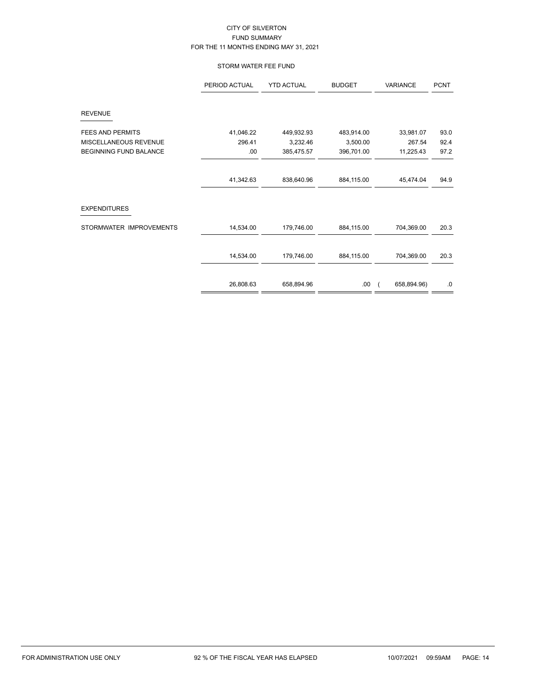# STORM WATER FEE FUND

|                         | PERIOD ACTUAL | <b>YTD ACTUAL</b> | <b>BUDGET</b> | VARIANCE    | <b>PCNT</b> |
|-------------------------|---------------|-------------------|---------------|-------------|-------------|
| <b>REVENUE</b>          |               |                   |               |             |             |
| <b>FEES AND PERMITS</b> | 41,046.22     | 449,932.93        | 483,914.00    | 33,981.07   | 93.0        |
| MISCELLANEOUS REVENUE   | 296.41        | 3,232.46          | 3,500.00      | 267.54      | 92.4        |
| BEGINNING FUND BALANCE  | .00           | 385,475.57        | 396,701.00    | 11,225.43   | 97.2        |
|                         | 41,342.63     | 838,640.96        | 884,115.00    | 45,474.04   | 94.9        |
| <b>EXPENDITURES</b>     |               |                   |               |             |             |
| STORMWATER IMPROVEMENTS | 14,534.00     | 179,746.00        | 884,115.00    | 704,369.00  | 20.3        |
|                         | 14,534.00     | 179,746.00        | 884,115.00    | 704,369.00  | 20.3        |
|                         | 26,808.63     | 658,894.96        | .00.          | 658,894.96) | $.0\,$      |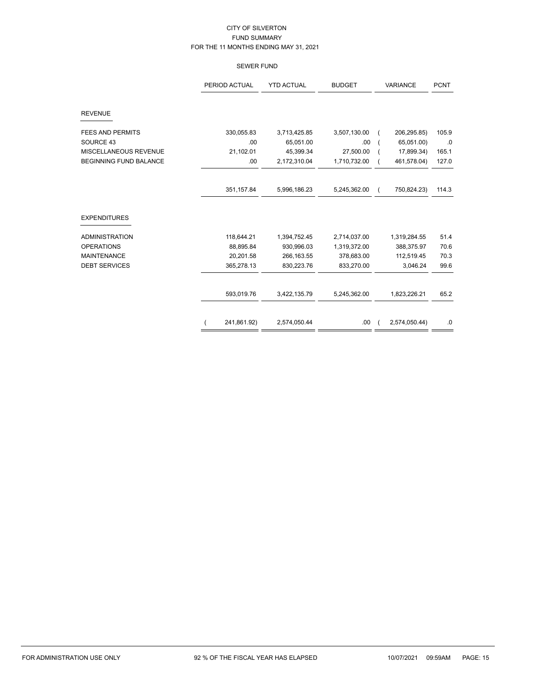# SEWER FUND

|                               | PERIOD ACTUAL | <b>YTD ACTUAL</b> | <b>BUDGET</b> | <b>VARIANCE</b>         | <b>PCNT</b> |
|-------------------------------|---------------|-------------------|---------------|-------------------------|-------------|
| <b>REVENUE</b>                |               |                   |               |                         |             |
| <b>FEES AND PERMITS</b>       | 330,055.83    | 3,713,425.85      | 3,507,130.00  | 206,295.85)             | 105.9       |
| SOURCE 43                     | .00           | 65,051.00         | .00           | 65,051.00)              | .0          |
| MISCELLANEOUS REVENUE         | 21,102.01     | 45,399.34         | 27,500.00     | 17,899.34)              | 165.1       |
| <b>BEGINNING FUND BALANCE</b> | .00           | 2,172,310.04      | 1,710,732.00  | 461,578.04)             | 127.0       |
|                               | 351,157.84    | 5,996,186.23      | 5,245,362.00  | 750,824.23)<br>$\left($ | 114.3       |
| <b>EXPENDITURES</b>           |               |                   |               |                         |             |
| <b>ADMINISTRATION</b>         | 118,644.21    | 1,394,752.45      | 2,714,037.00  | 1,319,284.55            | 51.4        |
| <b>OPERATIONS</b>             | 88,895.84     | 930,996.03        | 1,319,372.00  | 388,375.97              | 70.6        |
| <b>MAINTENANCE</b>            | 20,201.58     | 266, 163.55       | 378,683.00    | 112,519.45              | 70.3        |
| <b>DEBT SERVICES</b>          | 365,278.13    | 830,223.76        | 833,270.00    | 3,046.24                | 99.6        |
|                               | 593,019.76    | 3,422,135.79      | 5,245,362.00  | 1,823,226.21            | 65.2        |
|                               | 241,861.92)   | 2,574,050.44      | .00.          | 2,574,050.44)           | $\cdot$ 0   |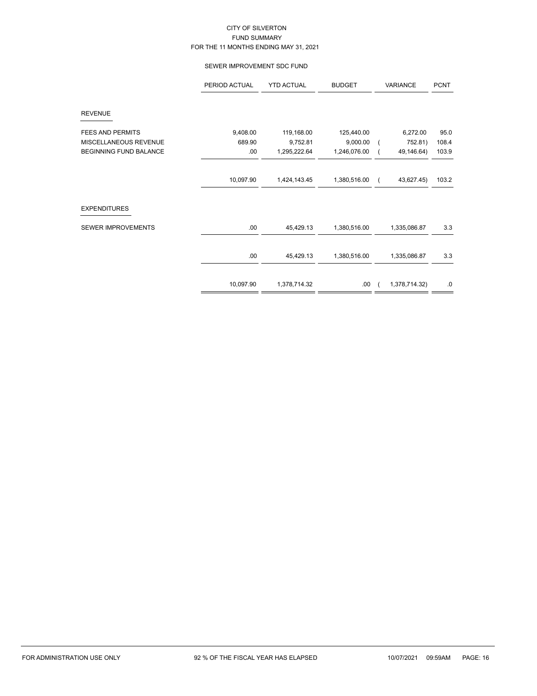### SEWER IMPROVEMENT SDC FUND

|                               | PERIOD ACTUAL | <b>YTD ACTUAL</b> | <b>BUDGET</b> | <b>VARIANCE</b> |               | <b>PCNT</b> |
|-------------------------------|---------------|-------------------|---------------|-----------------|---------------|-------------|
| <b>REVENUE</b>                |               |                   |               |                 |               |             |
| <b>FEES AND PERMITS</b>       | 9,408.00      | 119,168.00        | 125,440.00    |                 | 6,272.00      | 95.0        |
| MISCELLANEOUS REVENUE         | 689.90        | 9,752.81          | 9,000.00      |                 | 752.81)       | 108.4       |
| <b>BEGINNING FUND BALANCE</b> | .00           | 1,295,222.64      | 1,246,076.00  |                 | 49,146.64)    | 103.9       |
|                               | 10,097.90     | 1,424,143.45      | 1,380,516.00  |                 | 43,627.45)    | 103.2       |
| <b>EXPENDITURES</b>           |               |                   |               |                 |               |             |
| <b>SEWER IMPROVEMENTS</b>     | .00           | 45,429.13         | 1,380,516.00  |                 | 1,335,086.87  | 3.3         |
|                               |               |                   |               |                 |               |             |
|                               | .00           | 45,429.13         | 1,380,516.00  |                 | 1,335,086.87  | 3.3         |
|                               | 10,097.90     | 1,378,714.32      | .00           |                 | 1,378,714.32) | .0          |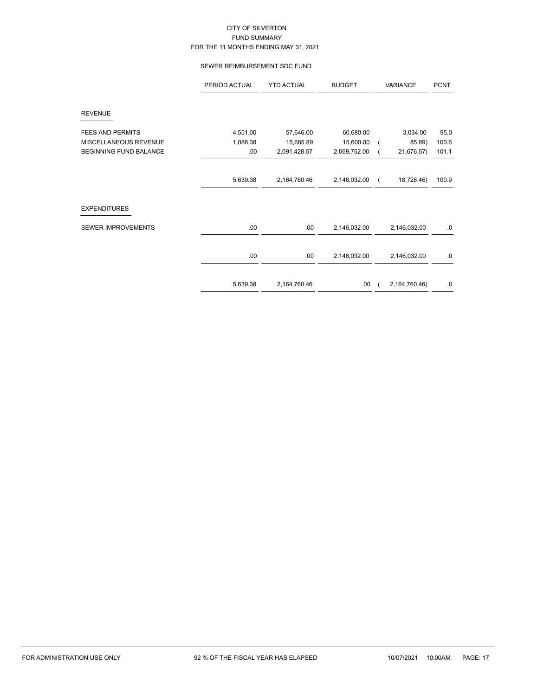### SEWER REIMBURSEMENT SDC FUND

|                               | PERIOD ACTUAL | <b>YTD ACTUAL</b> | <b>BUDGET</b> | VARIANCE      | <b>PCNT</b> |
|-------------------------------|---------------|-------------------|---------------|---------------|-------------|
| <b>REVENUE</b>                |               |                   |               |               |             |
| <b>FEES AND PERMITS</b>       | 4,551.00      | 57,646.00         | 60,680.00     | 3,034.00      | 95.0        |
| MISCELLANEOUS REVENUE         | 1,088.38      | 15,685.89         | 15,600.00     | 85.89)        | 100.6       |
| <b>BEGINNING FUND BALANCE</b> | .00           | 2,091,428.57      | 2,069,752.00  | 21,676.57)    | 101.1       |
|                               |               |                   |               |               |             |
|                               | 5,639.38      | 2,164,760.46      | 2,146,032.00  | 18,728.46)    | 100.9       |
| <b>EXPENDITURES</b>           |               |                   |               |               |             |
| <b>SEWER IMPROVEMENTS</b>     | .00           | .00               | 2,146,032.00  | 2,146,032.00  | .0          |
|                               |               |                   |               |               |             |
|                               | .00           | .00               | 2,146,032.00  | 2,146,032.00  | .0          |
|                               | 5,639.38      | 2,164,760.46      | .00           | 2,164,760.46) | .0          |
|                               |               |                   |               |               |             |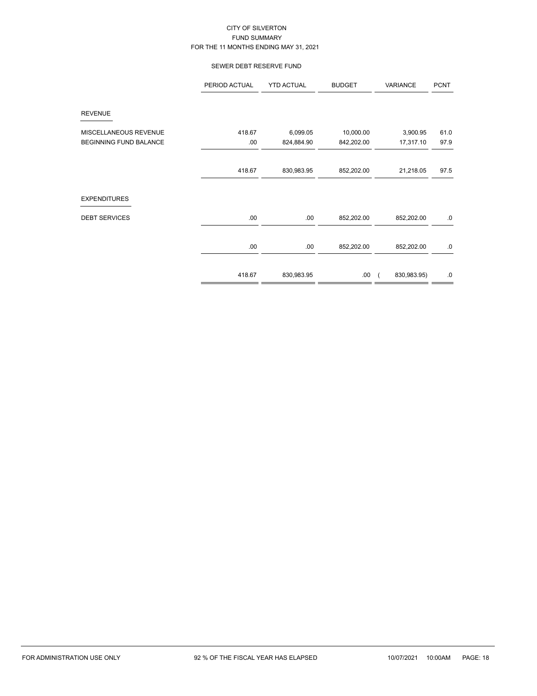# SEWER DEBT RESERVE FUND

|                               | PERIOD ACTUAL | <b>YTD ACTUAL</b> | <b>BUDGET</b> | VARIANCE    | <b>PCNT</b> |
|-------------------------------|---------------|-------------------|---------------|-------------|-------------|
| <b>REVENUE</b>                |               |                   |               |             |             |
| MISCELLANEOUS REVENUE         | 418.67        | 6,099.05          | 10,000.00     | 3,900.95    | 61.0        |
| <b>BEGINNING FUND BALANCE</b> | .00           | 824,884.90        | 842,202.00    | 17,317.10   | 97.9        |
|                               |               |                   |               |             |             |
|                               | 418.67        | 830,983.95        | 852,202.00    | 21,218.05   | 97.5        |
|                               |               |                   |               |             |             |
| <b>EXPENDITURES</b>           |               |                   |               |             |             |
| <b>DEBT SERVICES</b>          | .00.          | .00               | 852,202.00    | 852,202.00  | 0.          |
|                               | .00           | .00               | 852,202.00    | 852,202.00  | .0          |
|                               | 418.67        | 830,983.95        | .00.          | 830,983.95) | .0          |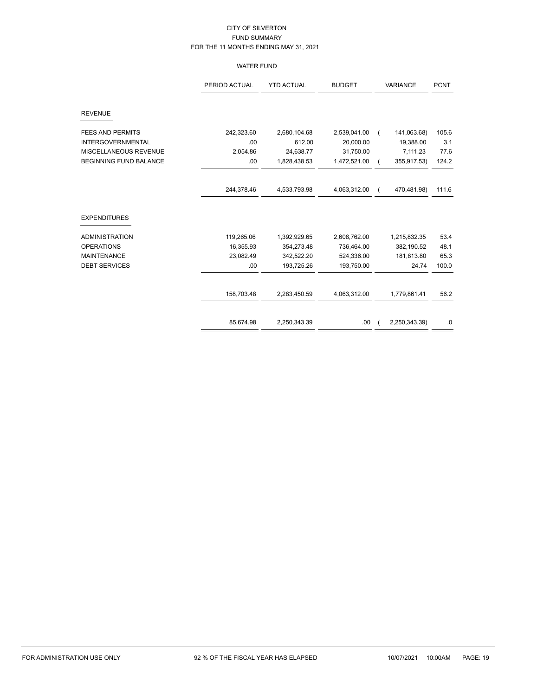# WATER FUND

|                               | PERIOD ACTUAL | <b>YTD ACTUAL</b> | <b>BUDGET</b> | <b>VARIANCE</b> |               | <b>PCNT</b> |
|-------------------------------|---------------|-------------------|---------------|-----------------|---------------|-------------|
| <b>REVENUE</b>                |               |                   |               |                 |               |             |
| <b>FEES AND PERMITS</b>       | 242,323.60    | 2,680,104.68      | 2,539,041.00  |                 | 141,063.68)   | 105.6       |
| <b>INTERGOVERNMENTAL</b>      | .00           | 612.00            | 20,000.00     |                 | 19,388.00     | 3.1         |
| MISCELLANEOUS REVENUE         | 2,054.86      | 24,638.77         | 31,750.00     |                 | 7,111.23      | 77.6        |
| <b>BEGINNING FUND BALANCE</b> | .00           | 1,828,438.53      | 1,472,521.00  | $\left($        | 355,917.53)   | 124.2       |
|                               | 244,378.46    | 4,533,793.98      | 4,063,312.00  | $\left($        | 470,481.98)   | 111.6       |
| <b>EXPENDITURES</b>           |               |                   |               |                 |               |             |
| <b>ADMINISTRATION</b>         | 119,265.06    | 1,392,929.65      | 2,608,762.00  |                 | 1,215,832.35  | 53.4        |
| <b>OPERATIONS</b>             | 16,355.93     | 354,273.48        | 736,464.00    |                 | 382,190.52    | 48.1        |
| <b>MAINTENANCE</b>            | 23,082.49     | 342,522.20        | 524,336.00    |                 | 181,813.80    | 65.3        |
| <b>DEBT SERVICES</b>          | .00           | 193,725.26        | 193,750.00    |                 | 24.74         | 100.0       |
|                               | 158,703.48    | 2,283,450.59      | 4,063,312.00  |                 | 1,779,861.41  | 56.2        |
|                               | 85,674.98     | 2,250,343.39      | .00           |                 | 2,250,343.39) | .0          |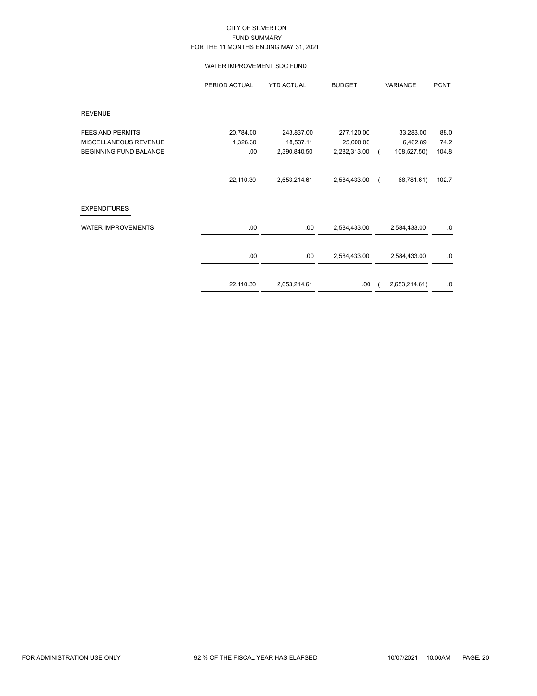### WATER IMPROVEMENT SDC FUND

|                           | PERIOD ACTUAL | <b>YTD ACTUAL</b> | <b>BUDGET</b> | VARIANCE |               | <b>PCNT</b> |
|---------------------------|---------------|-------------------|---------------|----------|---------------|-------------|
| <b>REVENUE</b>            |               |                   |               |          |               |             |
| <b>FEES AND PERMITS</b>   | 20,784.00     | 243,837.00        | 277,120.00    |          | 33,283.00     | 88.0        |
| MISCELLANEOUS REVENUE     | 1,326.30      | 18,537.11         | 25,000.00     |          | 6,462.89      | 74.2        |
| BEGINNING FUND BALANCE    | .00           | 2,390,840.50      | 2,282,313.00  |          | 108,527.50)   | 104.8       |
|                           |               |                   |               |          |               |             |
|                           | 22,110.30     | 2,653,214.61      | 2,584,433.00  |          | 68,781.61)    | 102.7       |
| <b>EXPENDITURES</b>       |               |                   |               |          |               |             |
| <b>WATER IMPROVEMENTS</b> | .00           | .00               | 2,584,433.00  |          | 2,584,433.00  | $.0\,$      |
|                           | .00           | .00               | 2,584,433.00  |          | 2,584,433.00  | $.0\,$      |
|                           | 22,110.30     | 2,653,214.61      | .00.          |          | 2,653,214.61) | .0          |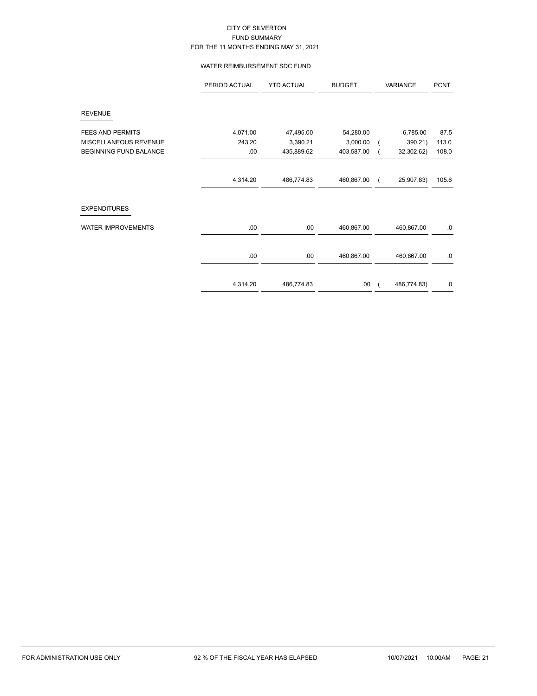### WATER REIMBURSEMENT SDC FUND

|                               | PERIOD ACTUAL | <b>YTD ACTUAL</b> | <b>BUDGET</b> | VARIANCE    | <b>PCNT</b> |
|-------------------------------|---------------|-------------------|---------------|-------------|-------------|
| <b>REVENUE</b>                |               |                   |               |             |             |
| <b>FEES AND PERMITS</b>       | 4,071.00      | 47,495.00         | 54,280.00     | 6,785.00    | 87.5        |
| MISCELLANEOUS REVENUE         | 243.20        | 3,390.21          | 3,000.00      | 390.21)     | 113.0       |
| <b>BEGINNING FUND BALANCE</b> | .00           | 435,889.62        | 403,587.00    | 32,302.62)  | 108.0       |
|                               |               |                   |               |             |             |
|                               | 4,314.20      | 486,774.83        | 460,867.00    | 25,907.83)  | 105.6       |
| <b>EXPENDITURES</b>           |               |                   |               |             |             |
| <b>WATER IMPROVEMENTS</b>     | .00.          | .00               | 460,867.00    | 460,867.00  | .0          |
|                               | .00           | .00               | 460,867.00    | 460,867.00  | .0          |
|                               |               |                   |               |             |             |
|                               | 4,314.20      | 486,774.83        | .00.          | 486,774.83) | $.0\,$      |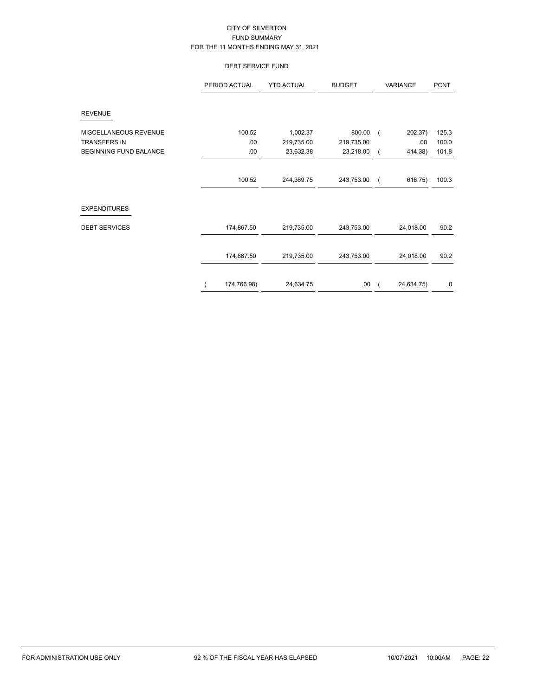### DEBT SERVICE FUND

|                               | PERIOD ACTUAL | <b>YTD ACTUAL</b> | <b>BUDGET</b> | VARIANCE   | <b>PCNT</b> |
|-------------------------------|---------------|-------------------|---------------|------------|-------------|
| <b>REVENUE</b>                |               |                   |               |            |             |
| MISCELLANEOUS REVENUE         | 100.52        | 1,002.37          | 800.00        | 202.37)    | 125.3       |
| <b>TRANSFERS IN</b>           | .00           | 219,735.00        | 219,735.00    | .00        | 100.0       |
| <b>BEGINNING FUND BALANCE</b> | .00           | 23,632.38         | 23,218.00     | 414.38)    | 101.8       |
|                               |               |                   |               |            |             |
|                               | 100.52        | 244,369.75        | 243,753.00    | 616.75)    | 100.3       |
| <b>EXPENDITURES</b>           |               |                   |               |            |             |
| <b>DEBT SERVICES</b>          | 174,867.50    | 219,735.00        | 243,753.00    | 24,018.00  | 90.2        |
|                               | 174,867.50    | 219,735.00        | 243,753.00    | 24,018.00  | 90.2        |
|                               | 174,766.98)   | 24,634.75         | .00           | 24,634.75) | .0          |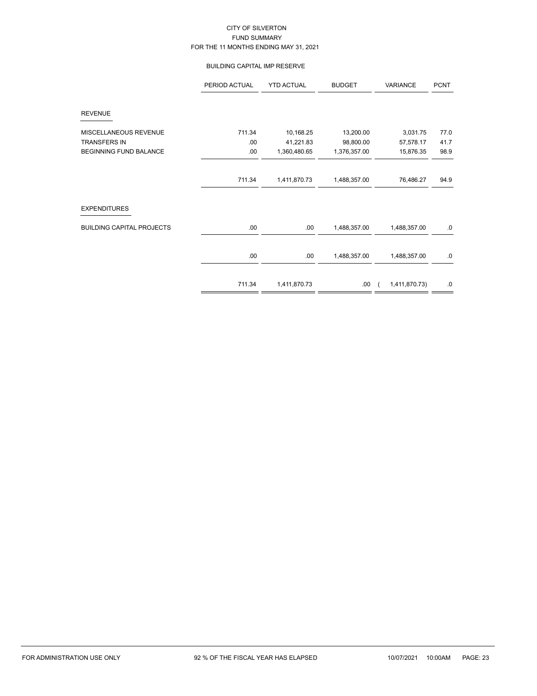### BUILDING CAPITAL IMP RESERVE

|                                  | PERIOD ACTUAL | <b>YTD ACTUAL</b> | <b>BUDGET</b> | VARIANCE      | <b>PCNT</b> |
|----------------------------------|---------------|-------------------|---------------|---------------|-------------|
| <b>REVENUE</b>                   |               |                   |               |               |             |
| MISCELLANEOUS REVENUE            | 711.34        | 10,168.25         | 13,200.00     | 3,031.75      | 77.0        |
| <b>TRANSFERS IN</b>              | .00           | 41,221.83         | 98,800.00     | 57,578.17     | 41.7        |
| BEGINNING FUND BALANCE           | .00           | 1,360,480.65      | 1,376,357.00  | 15,876.35     | 98.9        |
|                                  | 711.34        | 1,411,870.73      | 1,488,357.00  | 76,486.27     | 94.9        |
| <b>EXPENDITURES</b>              |               |                   |               |               |             |
| <b>BUILDING CAPITAL PROJECTS</b> | .00           | .00.              | 1,488,357.00  | 1,488,357.00  | $.0\,$      |
|                                  | .00           | .00               | 1,488,357.00  | 1,488,357.00  | 0.          |
|                                  | 711.34        | 1,411,870.73      | .00.          | 1,411,870.73) | $.0\,$      |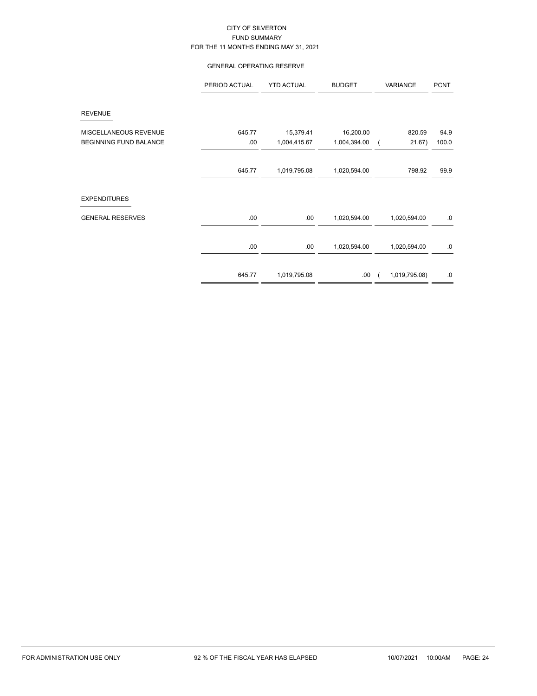### GENERAL OPERATING RESERVE

|                               | PERIOD ACTUAL | <b>YTD ACTUAL</b> | <b>BUDGET</b> | VARIANCE      | <b>PCNT</b> |
|-------------------------------|---------------|-------------------|---------------|---------------|-------------|
| <b>REVENUE</b>                |               |                   |               |               |             |
| MISCELLANEOUS REVENUE         | 645.77        | 15,379.41         | 16,200.00     | 820.59        | 94.9        |
| <b>BEGINNING FUND BALANCE</b> | .00           | 1,004,415.67      | 1,004,394.00  | 21.67)        | 100.0       |
|                               |               |                   |               |               |             |
|                               | 645.77        | 1,019,795.08      | 1,020,594.00  | 798.92        | 99.9        |
|                               |               |                   |               |               |             |
| <b>EXPENDITURES</b>           |               |                   |               |               |             |
| <b>GENERAL RESERVES</b>       | .00.          | .00.              | 1,020,594.00  | 1,020,594.00  | .0          |
|                               | .00.          | .00               | 1,020,594.00  | 1,020,594.00  | .0          |
|                               | 645.77        | 1,019,795.08      | .00           | 1,019,795.08) | .0          |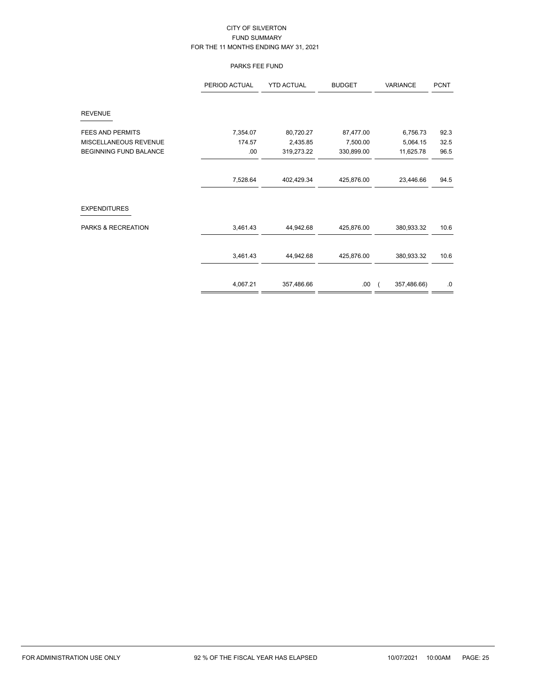### PARKS FEE FUND

|                               | PERIOD ACTUAL | <b>YTD ACTUAL</b> | <b>BUDGET</b> | VARIANCE    | <b>PCNT</b> |
|-------------------------------|---------------|-------------------|---------------|-------------|-------------|
| <b>REVENUE</b>                |               |                   |               |             |             |
| <b>FEES AND PERMITS</b>       | 7,354.07      | 80,720.27         | 87,477.00     | 6,756.73    | 92.3        |
| MISCELLANEOUS REVENUE         | 174.57        | 2,435.85          | 7,500.00      | 5,064.15    | 32.5        |
| <b>BEGINNING FUND BALANCE</b> | .00           | 319,273.22        | 330,899.00    | 11,625.78   | 96.5        |
|                               |               |                   |               |             |             |
|                               | 7,528.64      | 402,429.34        | 425,876.00    | 23,446.66   | 94.5        |
| <b>EXPENDITURES</b>           |               |                   |               |             |             |
| PARKS & RECREATION            | 3,461.43      | 44,942.68         | 425,876.00    | 380,933.32  | 10.6        |
|                               | 3,461.43      | 44,942.68         | 425,876.00    | 380,933.32  | 10.6        |
|                               | 4,067.21      | 357,486.66        | .00           | 357,486.66) | .0          |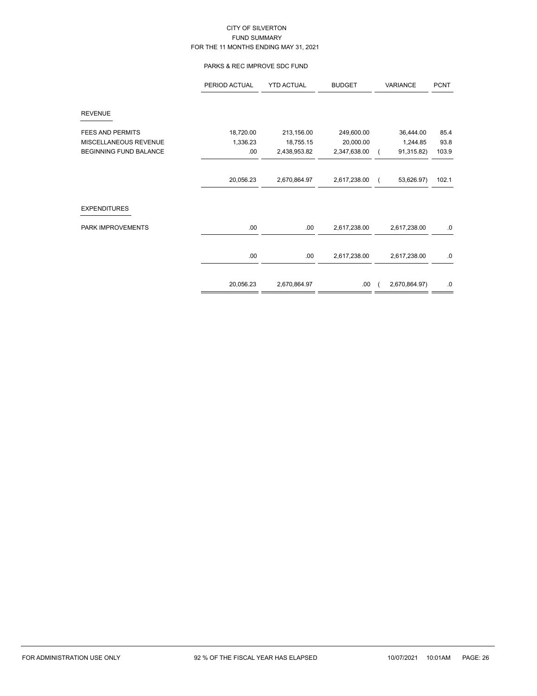### PARKS & REC IMPROVE SDC FUND

|                         | PERIOD ACTUAL | <b>YTD ACTUAL</b> | <b>BUDGET</b> | VARIANCE      | <b>PCNT</b> |
|-------------------------|---------------|-------------------|---------------|---------------|-------------|
| <b>REVENUE</b>          |               |                   |               |               |             |
| <b>FEES AND PERMITS</b> | 18,720.00     | 213,156.00        | 249,600.00    | 36,444.00     | 85.4        |
| MISCELLANEOUS REVENUE   | 1,336.23      | 18,755.15         | 20,000.00     | 1,244.85      | 93.8        |
| BEGINNING FUND BALANCE  | .00           | 2,438,953.82      | 2,347,638.00  | 91,315.82)    | 103.9       |
|                         |               |                   |               |               |             |
|                         | 20,056.23     | 2,670,864.97      | 2,617,238.00  | 53,626.97)    | 102.1       |
| <b>EXPENDITURES</b>     |               |                   |               |               |             |
| PARK IMPROVEMENTS       | .00.          | .00               | 2,617,238.00  | 2,617,238.00  | .0          |
|                         | .00.          | .00               | 2,617,238.00  | 2,617,238.00  | $.0\,$      |
|                         | 20,056.23     | 2,670,864.97      | .00.          | 2,670,864.97) | .0          |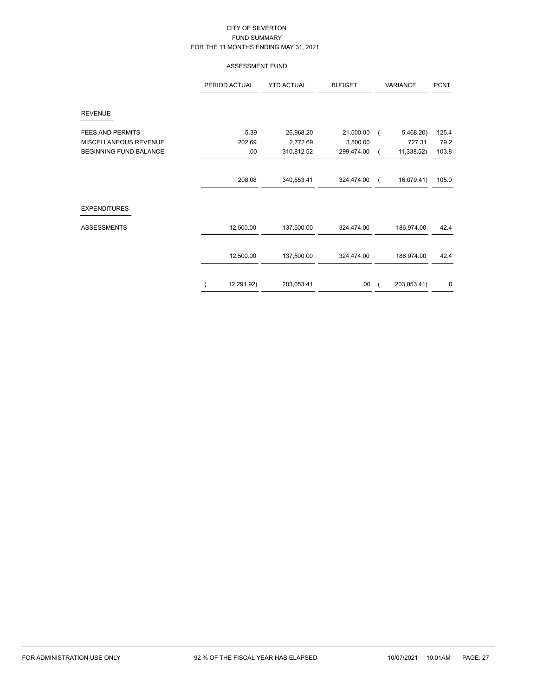### ASSESSMENT FUND

|                               | PERIOD ACTUAL | <b>YTD ACTUAL</b> | <b>BUDGET</b> | VARIANCE    | <b>PCNT</b> |
|-------------------------------|---------------|-------------------|---------------|-------------|-------------|
| <b>REVENUE</b>                |               |                   |               |             |             |
| <b>FEES AND PERMITS</b>       | 5.39          | 26,968.20         | 21,500.00     | 5,468.20)   | 125.4       |
| MISCELLANEOUS REVENUE         | 202.69        | 2,772.69          | 3,500.00      | 727.31      | 79.2        |
| <b>BEGINNING FUND BALANCE</b> | .00           | 310,812.52        | 299,474.00    | 11,338.52)  | 103.8       |
|                               |               |                   |               |             |             |
|                               | 208.08        | 340,553.41        | 324,474.00    | 16,079.41)  | 105.0       |
| <b>EXPENDITURES</b>           |               |                   |               |             |             |
| <b>ASSESSMENTS</b>            | 12,500.00     | 137,500.00        | 324,474.00    | 186,974.00  | 42.4        |
|                               | 12,500.00     | 137,500.00        | 324,474.00    | 186,974.00  | 42.4        |
|                               |               |                   |               |             |             |
|                               | 12,291.92)    | 203,053.41        | .00.          | 203,053.41) | $.0\,$      |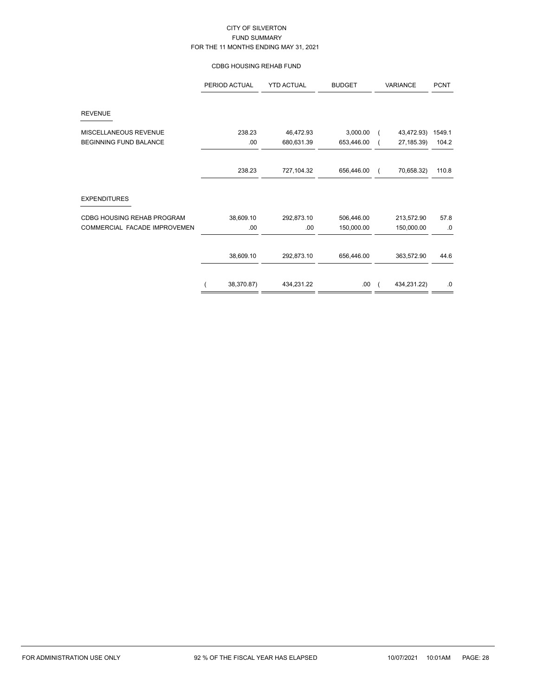### CDBG HOUSING REHAB FUND

|                               | PERIOD ACTUAL | <b>YTD ACTUAL</b> | <b>BUDGET</b> | VARIANCE               | <b>PCNT</b> |
|-------------------------------|---------------|-------------------|---------------|------------------------|-------------|
| <b>REVENUE</b>                |               |                   |               |                        |             |
| MISCELLANEOUS REVENUE         | 238.23        | 46,472.93         | 3,000.00      | 43,472.93)             | 1549.1      |
| <b>BEGINNING FUND BALANCE</b> | .00           | 680,631.39        | 653,446.00    | 27, 185.39)            | 104.2       |
|                               | 238.23        | 727,104.32        | 656,446.00    | 70,658.32)<br>$\left($ | 110.8       |
| <b>EXPENDITURES</b>           |               |                   |               |                        |             |
| CDBG HOUSING REHAB PROGRAM    | 38,609.10     | 292,873.10        | 506,446.00    | 213,572.90             | 57.8        |
| COMMERCIAL FACADE IMPROVEMEN  | .00           | .00               | 150,000.00    | 150,000.00             | .0          |
|                               | 38,609.10     | 292,873.10        | 656,446.00    | 363,572.90             | 44.6        |
|                               | 38,370.87)    | 434,231.22        | .00           | 434,231.22)            | .0          |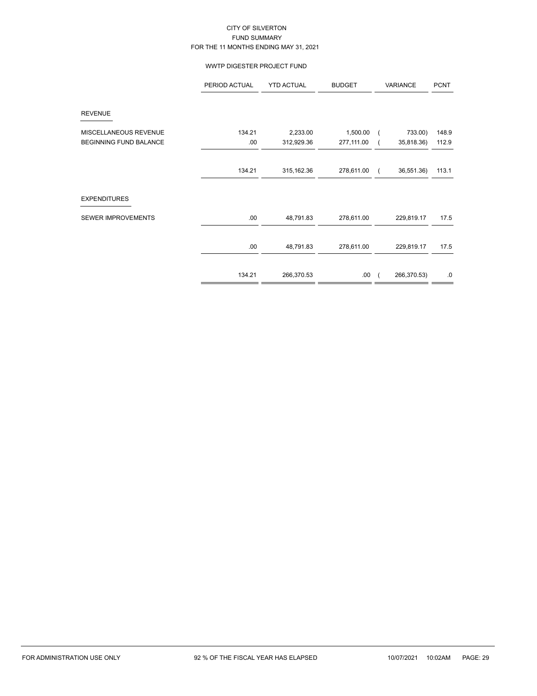### WWTP DIGESTER PROJECT FUND

|                               | PERIOD ACTUAL | <b>YTD ACTUAL</b> | <b>BUDGET</b> |            | VARIANCE    | <b>PCNT</b> |
|-------------------------------|---------------|-------------------|---------------|------------|-------------|-------------|
| <b>REVENUE</b>                |               |                   |               |            |             |             |
| MISCELLANEOUS REVENUE         | 134.21        | 2,233.00          | 1,500.00      | $\sqrt{2}$ | 733.00)     | 148.9       |
| <b>BEGINNING FUND BALANCE</b> | .00           | 312,929.36        | 277,111.00    |            | 35,818.36)  | 112.9       |
|                               |               |                   |               |            |             |             |
|                               | 134.21        | 315, 162.36       | 278,611.00    | - 1        | 36,551.36)  | 113.1       |
|                               |               |                   |               |            |             |             |
| <b>EXPENDITURES</b>           |               |                   |               |            |             |             |
| SEWER IMPROVEMENTS            | .00.          | 48,791.83         | 278,611.00    |            | 229,819.17  | 17.5        |
|                               | .00.          | 48,791.83         | 278,611.00    |            | 229,819.17  | 17.5        |
|                               | 134.21        | 266,370.53        | .00.          | - (        | 266,370.53) | .0          |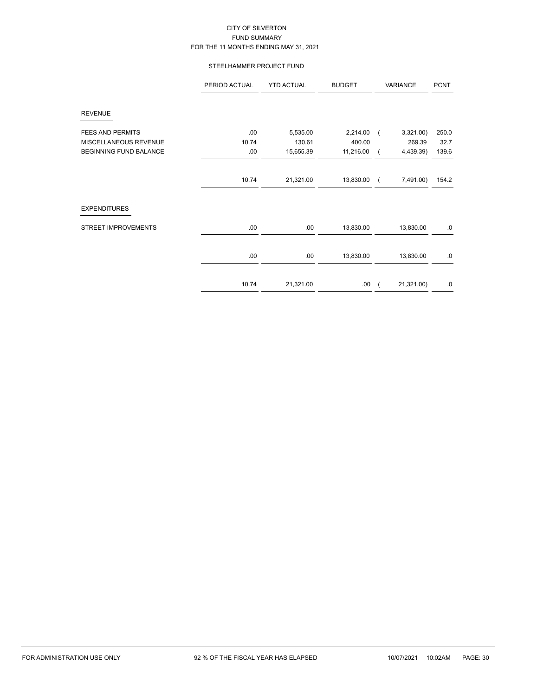# STEELHAMMER PROJECT FUND

|                               | PERIOD ACTUAL | <b>YTD ACTUAL</b> | <b>BUDGET</b> | VARIANCE   | <b>PCNT</b> |
|-------------------------------|---------------|-------------------|---------------|------------|-------------|
| <b>REVENUE</b>                |               |                   |               |            |             |
| <b>FEES AND PERMITS</b>       | .00           | 5,535.00          | 2,214.00      | 3,321.00   | 250.0       |
| MISCELLANEOUS REVENUE         | 10.74         | 130.61            | 400.00        | 269.39     | 32.7        |
| <b>BEGINNING FUND BALANCE</b> | .00           | 15,655.39         | 11,216.00     | 4,439.39)  | 139.6       |
|                               |               |                   |               |            |             |
|                               | 10.74         | 21,321.00         | 13,830.00     | 7,491.00)  | 154.2       |
| <b>EXPENDITURES</b>           |               |                   |               |            |             |
| <b>STREET IMPROVEMENTS</b>    | .00           | .00               | 13,830.00     | 13,830.00  | .0          |
|                               |               |                   |               |            |             |
|                               | .00           | .00               | 13,830.00     | 13,830.00  | .0          |
|                               | 10.74         |                   |               | 21,321.00) |             |
|                               |               | 21,321.00         | .00.          |            | .0          |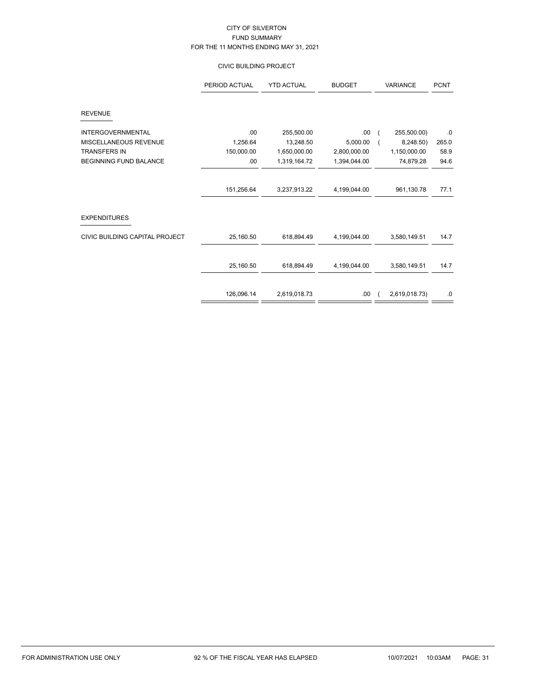# CIVIC BUILDING PROJECT

|                                | PERIOD ACTUAL | <b>YTD ACTUAL</b> | <b>BUDGET</b> | <b>VARIANCE</b> | <b>PCNT</b> |
|--------------------------------|---------------|-------------------|---------------|-----------------|-------------|
| <b>REVENUE</b>                 |               |                   |               |                 |             |
| <b>INTERGOVERNMENTAL</b>       | .00           | 255,500.00        | .00           | 255,500.00)     | .0          |
| MISCELLANEOUS REVENUE          | 1,256.64      | 13,248.50         | 5,000.00      | 8,248.50)       | 265.0       |
| <b>TRANSFERS IN</b>            | 150,000.00    | 1,650,000.00      | 2,800,000.00  | 1,150,000.00    | 58.9        |
| <b>BEGINNING FUND BALANCE</b>  | .00           | 1,319,164.72      | 1,394,044.00  | 74,879.28       | 94.6        |
|                                | 151,256.64    | 3,237,913.22      | 4,199,044.00  | 961,130.78      | 77.1        |
| <b>EXPENDITURES</b>            |               |                   |               |                 |             |
| CIVIC BUILDING CAPITAL PROJECT | 25,160.50     | 618,894.49        | 4,199,044.00  | 3,580,149.51    | 14.7        |
|                                | 25,160.50     | 618,894.49        | 4,199,044.00  | 3,580,149.51    | 14.7        |
|                                | 126,096.14    | 2,619,018.73      | .00           | 2,619,018.73)   | $.0\,$      |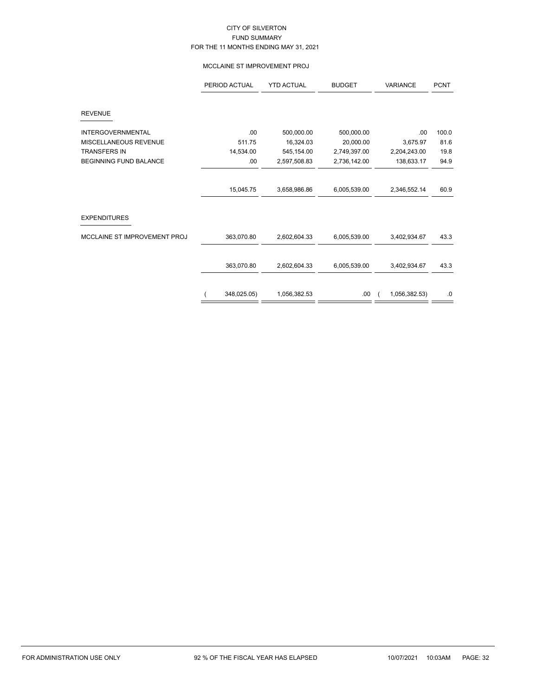### MCCLAINE ST IMPROVEMENT PROJ

|                               | PERIOD ACTUAL | <b>YTD ACTUAL</b> | <b>BUDGET</b> | <b>VARIANCE</b> | <b>PCNT</b> |
|-------------------------------|---------------|-------------------|---------------|-----------------|-------------|
| <b>REVENUE</b>                |               |                   |               |                 |             |
|                               |               |                   |               |                 |             |
| <b>INTERGOVERNMENTAL</b>      | .00           | 500,000.00        | 500,000.00    | .00             | 100.0       |
| MISCELLANEOUS REVENUE         | 511.75        | 16,324.03         | 20,000.00     | 3,675.97        | 81.6        |
| <b>TRANSFERS IN</b>           | 14,534.00     | 545, 154.00       | 2,749,397.00  | 2,204,243.00    | 19.8        |
| <b>BEGINNING FUND BALANCE</b> | .00           | 2,597,508.83      | 2,736,142.00  | 138,633.17      | 94.9        |
|                               | 15,045.75     | 3,658,986.86      | 6,005,539.00  | 2,346,552.14    | 60.9        |
| <b>EXPENDITURES</b>           |               |                   |               |                 |             |
| MCCLAINE ST IMPROVEMENT PROJ  | 363,070.80    | 2,602,604.33      | 6,005,539.00  | 3,402,934.67    | 43.3        |
|                               | 363,070.80    | 2,602,604.33      | 6,005,539.00  | 3,402,934.67    | 43.3        |
|                               | 348,025.05)   | 1,056,382.53      | .00           | 1,056,382.53)   | .0          |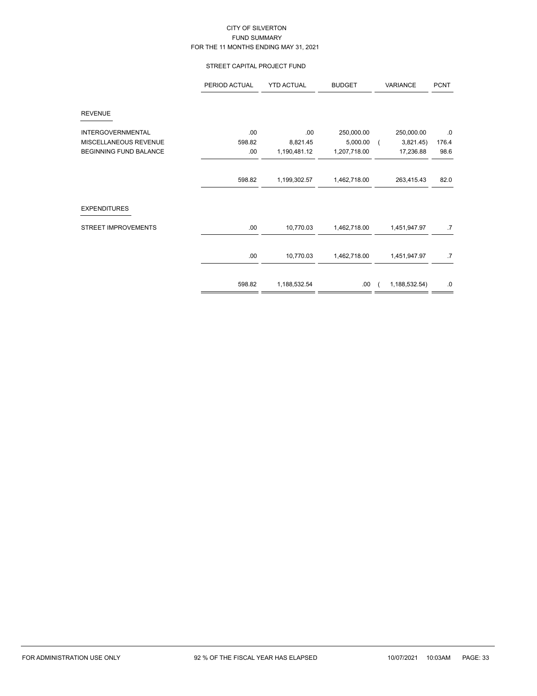# STREET CAPITAL PROJECT FUND

|                            | PERIOD ACTUAL | <b>YTD ACTUAL</b> | <b>BUDGET</b> | VARIANCE                | <b>PCNT</b> |
|----------------------------|---------------|-------------------|---------------|-------------------------|-------------|
| <b>REVENUE</b>             |               |                   |               |                         |             |
| <b>INTERGOVERNMENTAL</b>   | .00           | .00               | 250,000.00    | 250,000.00              | .0          |
| MISCELLANEOUS REVENUE      | 598.82        | 8,821.45          | 5,000.00      | 3,821.45)<br>$\sqrt{2}$ | 176.4       |
| BEGINNING FUND BALANCE     | .00           | 1,190,481.12      | 1,207,718.00  | 17,236.88               | 98.6        |
|                            |               |                   |               |                         |             |
|                            | 598.82        | 1,199,302.57      | 1,462,718.00  | 263,415.43              | 82.0        |
| <b>EXPENDITURES</b>        |               |                   |               |                         |             |
| <b>STREET IMPROVEMENTS</b> | .00.          | 10,770.03         | 1,462,718.00  | 1,451,947.97            | .7          |
|                            | .00.          | 10,770.03         | 1,462,718.00  | 1,451,947.97            | .7          |
|                            |               |                   |               |                         |             |
|                            | 598.82        | 1,188,532.54      | .00.          | 1,188,532.54)           | .0          |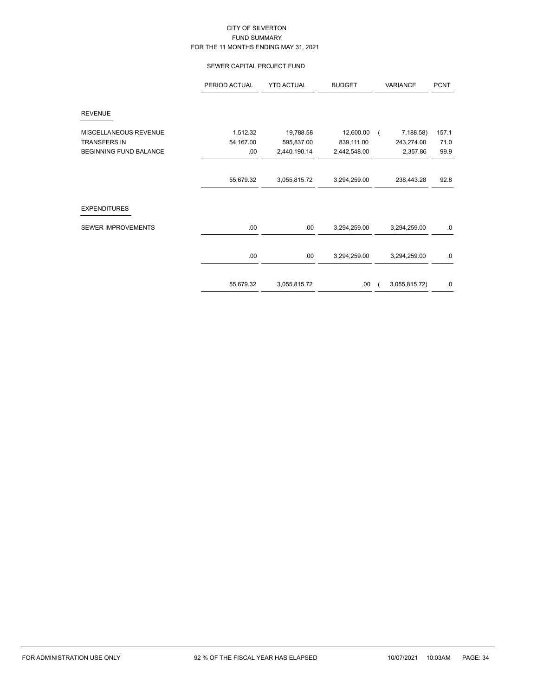### SEWER CAPITAL PROJECT FUND

|                               | PERIOD ACTUAL | <b>YTD ACTUAL</b> | <b>BUDGET</b> | VARIANCE      | <b>PCNT</b> |
|-------------------------------|---------------|-------------------|---------------|---------------|-------------|
| <b>REVENUE</b>                |               |                   |               |               |             |
| MISCELLANEOUS REVENUE         | 1,512.32      | 19,788.58         | 12,600.00     | 7,188.58)     | 157.1       |
| <b>TRANSFERS IN</b>           | 54,167.00     | 595,837.00        | 839,111.00    | 243,274.00    | 71.0        |
| <b>BEGINNING FUND BALANCE</b> | .00           | 2,440,190.14      | 2,442,548.00  | 2,357.86      | 99.9        |
|                               | 55,679.32     | 3,055,815.72      | 3,294,259.00  | 238,443.28    | 92.8        |
| <b>EXPENDITURES</b>           |               |                   |               |               |             |
| <b>SEWER IMPROVEMENTS</b>     | .00.          | .00               | 3,294,259.00  | 3,294,259.00  | $.0\,$      |
|                               | .00.          | .00               | 3,294,259.00  | 3,294,259.00  | .0          |
|                               | 55,679.32     | 3,055,815.72      | .00           | 3,055,815.72) | .0          |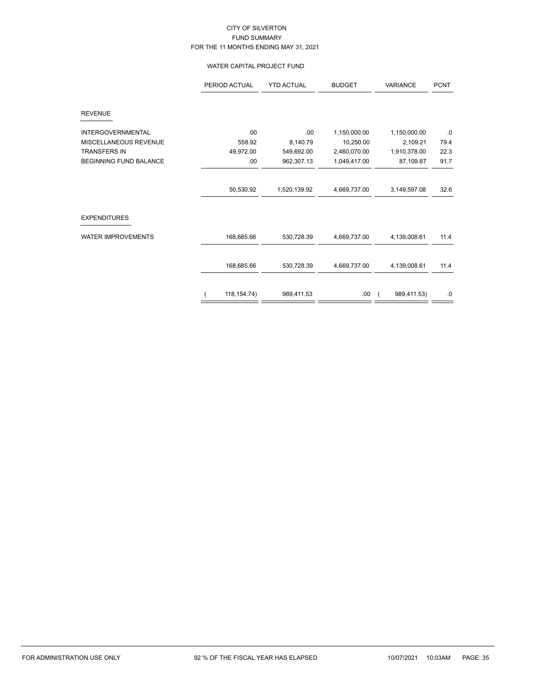### WATER CAPITAL PROJECT FUND

|                               | PERIOD ACTUAL | <b>YTD ACTUAL</b> | <b>BUDGET</b> | <b>VARIANCE</b> | <b>PCNT</b> |
|-------------------------------|---------------|-------------------|---------------|-----------------|-------------|
| <b>REVENUE</b>                |               |                   |               |                 |             |
| <b>INTERGOVERNMENTAL</b>      | .00           | .00               | 1,150,000.00  | 1,150,000.00    | $\cdot$ 0   |
| MISCELLANEOUS REVENUE         | 558.92        | 8,140.79          | 10,250.00     | 2,109.21        | 79.4        |
| <b>TRANSFERS IN</b>           | 49,972.00     | 549,692.00        | 2,460,070.00  | 1,910,378.00    | 22.3        |
| <b>BEGINNING FUND BALANCE</b> | .00.          | 962,307.13        | 1,049,417.00  | 87,109.87       | 91.7        |
|                               | 50,530.92     | 1,520,139.92      | 4,669,737.00  | 3,149,597.08    | 32.6        |
| <b>EXPENDITURES</b>           |               |                   |               |                 |             |
| <b>WATER IMPROVEMENTS</b>     | 168,685.66    | 530,728.39        | 4,669,737.00  | 4,139,008.61    | 11.4        |
|                               | 168,685.66    | 530,728.39        | 4,669,737.00  | 4,139,008.61    | 11.4        |
|                               |               |                   |               |                 |             |
|                               | 118, 154. 74) | 989,411.53        | .00           | 989,411.53)     | $.0\,$      |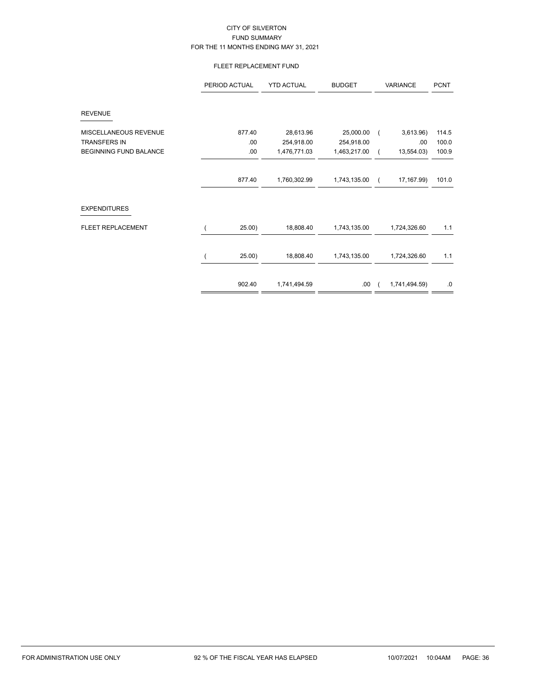# FLEET REPLACEMENT FUND

|                               | PERIOD ACTUAL | <b>YTD ACTUAL</b> | <b>BUDGET</b> | VARIANCE      | <b>PCNT</b> |
|-------------------------------|---------------|-------------------|---------------|---------------|-------------|
| <b>REVENUE</b>                |               |                   |               |               |             |
| MISCELLANEOUS REVENUE         | 877.40        | 28,613.96         | 25,000.00     | 3,613.96      | 114.5       |
| <b>TRANSFERS IN</b>           | .00           | 254,918.00        | 254,918.00    | .00.          | 100.0       |
| <b>BEGINNING FUND BALANCE</b> | .00           | 1,476,771.03      | 1,463,217.00  | 13,554.03)    | 100.9       |
|                               | 877.40        | 1,760,302.99      | 1,743,135.00  | 17, 167.99)   | 101.0       |
| <b>EXPENDITURES</b>           |               |                   |               |               |             |
| FLEET REPLACEMENT             | 25.00)        | 18,808.40         | 1,743,135.00  | 1,724,326.60  | 1.1         |
|                               | 25.00)        | 18,808.40         | 1,743,135.00  | 1,724,326.60  | 1.1         |
|                               | 902.40        | 1,741,494.59      | .00.          | 1,741,494.59) | .0          |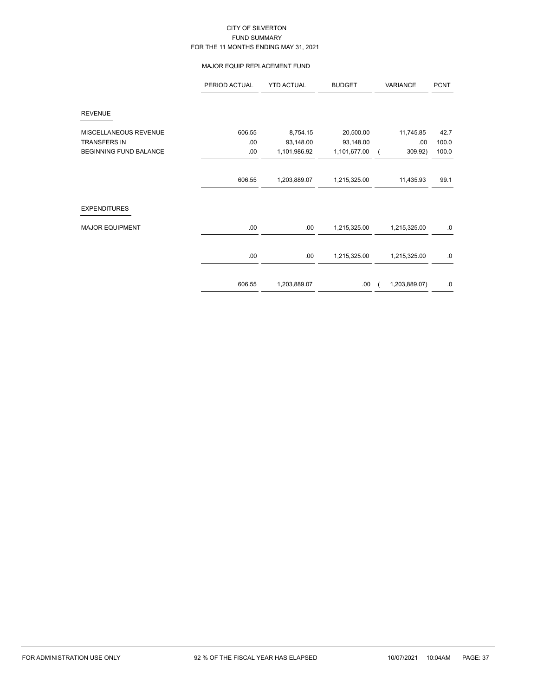### MAJOR EQUIP REPLACEMENT FUND

| PERIOD ACTUAL | <b>YTD ACTUAL</b> | <b>BUDGET</b> | VARIANCE      | <b>PCNT</b> |
|---------------|-------------------|---------------|---------------|-------------|
|               |                   |               |               |             |
| 606.55        | 8,754.15          | 20,500.00     | 11,745.85     | 42.7        |
| .00           | 93,148.00         | 93,148.00     | .00           | 100.0       |
| .00           | 1,101,986.92      | 1,101,677.00  | 309.92)       | 100.0       |
|               |                   |               |               |             |
| 606.55        | 1,203,889.07      | 1,215,325.00  | 11,435.93     | 99.1        |
|               |                   |               |               |             |
| .00           | .00.              | 1,215,325.00  | 1,215,325.00  | .0          |
| .00           | .00.              | 1,215,325.00  | 1,215,325.00  | .0          |
| 606.55        | 1,203,889.07      | .00.          | 1,203,889.07) | .0          |
|               |                   |               |               |             |